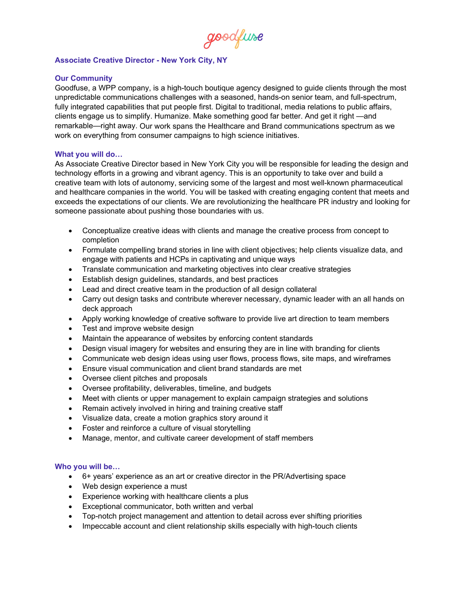goodfuse

## **Associate Creative Director - New York City, NY**

## **Our Community**

Goodfuse, a WPP company, is a high-touch boutique agency designed to guide clients through the most unpredictable communications challenges with a seasoned, hands-on senior team, and full-spectrum, fully integrated capabilities that put people first. Digital to traditional, media relations to public affairs, clients engage us to simplify. Humanize. Make something good far better. And get it right —and remarkable—right away. Our work spans the Healthcare and Brand communications spectrum as we work on everything from consumer campaigns to high science initiatives.

## **What you will do…**

As Associate Creative Director based in New York City you will be responsible for leading the design and technology efforts in a growing and vibrant agency. This is an opportunity to take over and build a creative team with lots of autonomy, servicing some of the largest and most well-known pharmaceutical and healthcare companies in the world. You will be tasked with creating engaging content that meets and exceeds the expectations of our clients. We are revolutionizing the healthcare PR industry and looking for someone passionate about pushing those boundaries with us.

- Conceptualize creative ideas with clients and manage the creative process from concept to completion
- Formulate compelling brand stories in line with client objectives; help clients visualize data, and engage with patients and HCPs in captivating and unique ways
- Translate communication and marketing objectives into clear creative strategies
- Establish design guidelines, standards, and best practices
- Lead and direct creative team in the production of all design collateral
- Carry out design tasks and contribute wherever necessary, dynamic leader with an all hands on deck approach
- Apply working knowledge of creative software to provide live art direction to team members
- Test and improve website design
- Maintain the appearance of websites by enforcing content standards
- Design visual imagery for websites and ensuring they are in line with branding for clients
- Communicate web design ideas using user flows, process flows, site maps, and wireframes
- Ensure visual communication and client brand standards are met
- Oversee client pitches and proposals
- Oversee profitability, deliverables, timeline, and budgets
- Meet with clients or upper management to explain campaign strategies and solutions
- Remain actively involved in hiring and training creative staff
- Visualize data, create a motion graphics story around it
- Foster and reinforce a culture of visual storytelling
- Manage, mentor, and cultivate career development of staff members

## **Who you will be…**

- 6+ years' experience as an art or creative director in the PR/Advertising space
- Web design experience a must
- Experience working with healthcare clients a plus
- Exceptional communicator, both written and verbal
- Top-notch project management and attention to detail across ever shifting priorities
- Impeccable account and client relationship skills especially with high-touch clients